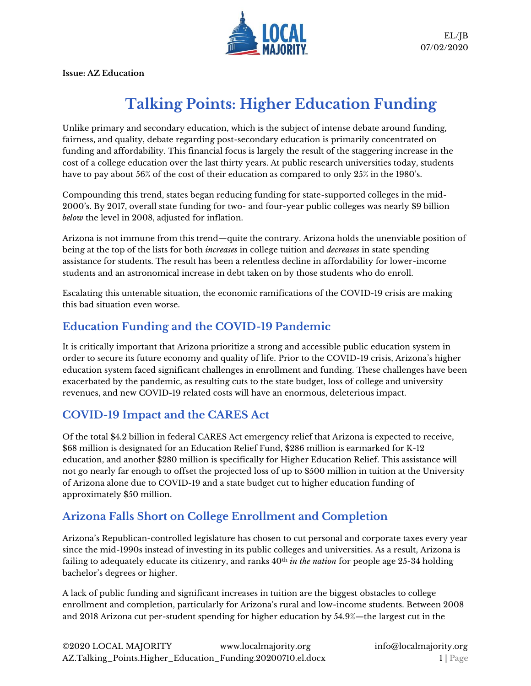

**Issue: AZ Education**

# **Talking Points: Higher Education Funding**

Unlike primary and secondary education, which is the subject of intense debate around funding, fairness, and quality, debate regarding post-secondary education is primarily concentrated on funding and affordability. This financial focus is largely the result of the staggering increase in the cost of a college education over the last thirty years. At public research universities today, students have to pay about 56% of the cost of their education as compared to only 25% in the 1980's.

Compounding this trend, states began reducing funding for state-supported colleges in the mid-2000's. By 2017, overall state funding for two- and four-year public colleges was nearly \$9 billion *below* the level in 2008, adjusted for inflation.

Arizona is not immune from this trend—quite the contrary. Arizona holds the unenviable position of being at the top of the lists for both *increases* in college tuition and *decreases* in state spending assistance for students. The result has been a relentless decline in affordability for lower-income students and an astronomical increase in debt taken on by those students who do enroll.

Escalating this untenable situation, the economic ramifications of the COVID-19 crisis are making this bad situation even worse.

### **Education Funding and the COVID-19 Pandemic**

It is critically important that Arizona prioritize a strong and accessible public education system in order to secure its future economy and quality of life. Prior to the COVID-19 crisis, Arizona's higher education system faced significant challenges in enrollment and funding. These challenges have been exacerbated by the pandemic, as resulting cuts to the state budget, loss of college and university revenues, and new COVID-19 related costs will have an enormous, deleterious impact.

#### **COVID-19 Impact and the CARES Act**

Of the total \$4.2 billion in federal CARES Act emergency relief that Arizona is expected to receive, \$68 million is designated for an Education Relief Fund, \$286 million is earmarked for K-12 education, and another \$280 million is specifically for Higher Education Relief. This assistance will not go nearly far enough to offset the projected loss of up to \$500 million in tuition at the University of Arizona alone due to COVID-19 and a state budget cut to higher education funding of approximately \$50 million.

## **Arizona Falls Short on College Enrollment and Completion**

Arizona's Republican-controlled legislature has chosen to cut personal and corporate taxes every year since the mid-1990s instead of investing in its public colleges and universities. As a result, Arizona is failing to adequately educate its citizenry, and ranks 40th *in the nation* for people age 25-34 holding bachelor's degrees or higher.

A lack of public funding and significant increases in tuition are the biggest obstacles to college enrollment and completion, particularly for Arizona's rural and low-income students. Between 2008 and 2018 Arizona cut per-student spending for higher education by 54.9%—the largest cut in the